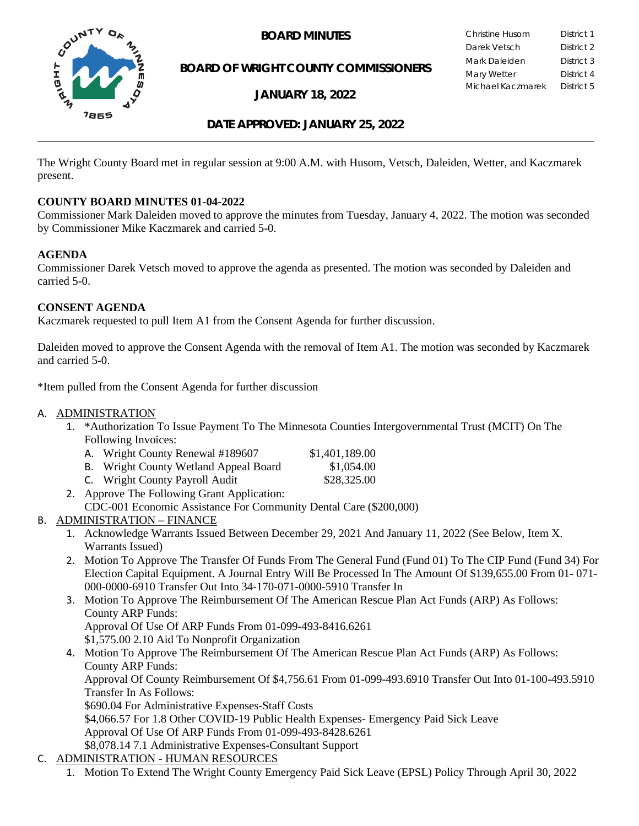

**BOARD OF WRIGHT COUNTY COMMISSIONERS**

**JANUARY 18, 2022**

**BOARD MINUTES** Christine Husom District 1<br>Darek Vetsch District 2 Darek Vetsch Mark Daleiden **District 3** Mary Wetter District 4 Michael Kaczmarek District 5

### **DATE APPROVED: JANUARY 25, 2022**

The Wright County Board met in regular session at 9:00 A.M. with Husom, Vetsch, Daleiden, Wetter, and Kaczmarek present.

#### **COUNTY BOARD MINUTES 01-04-2022**

Commissioner Mark Daleiden moved to approve the minutes from Tuesday, January 4, 2022. The motion was seconded by Commissioner Mike Kaczmarek and carried 5-0.

#### **AGENDA**

Commissioner Darek Vetsch moved to approve the agenda as presented. The motion was seconded by Daleiden and carried 5-0.

#### **CONSENT AGENDA**

Kaczmarek requested to pull Item A1 from the Consent Agenda for further discussion.

Daleiden moved to approve the Consent Agenda with the removal of Item A1. The motion was seconded by Kaczmarek and carried 5-0.

\*Item pulled from the Consent Agenda for further discussion

#### A. ADMINISTRATION

1. \*Authorization To Issue Payment To The Minnesota Counties Intergovernmental Trust (MCIT) On The Following Invoices:

| A. Wright County Renewal #189607                               | \$1,401,189.00 |
|----------------------------------------------------------------|----------------|
| <b>B.</b> Wright County Wetland Appeal Board                   | \$1,054.00     |
| $C = W_{11}$ . $1.4 C_{2}$ . $N_{3}$ . $N_{4}$ . $11 A = 11$ . | 0.00250        |

- C. Wright County Payroll Audit \$28,325.00
- 2. Approve The Following Grant Application: CDC-001 Economic Assistance For Community Dental Care (\$200,000)

## B. ADMINISTRATION – FINANCE

- 1. Acknowledge Warrants Issued Between December 29, 2021 And January 11, 2022 (See Below, Item X. Warrants Issued)
- 2. Motion To Approve The Transfer Of Funds From The General Fund (Fund 01) To The CIP Fund (Fund 34) For Election Capital Equipment. A Journal Entry Will Be Processed In The Amount Of \$139,655.00 From 01- 071- 000-0000-6910 Transfer Out Into 34-170-071-0000-5910 Transfer In
- 3. Motion To Approve The Reimbursement Of The American Rescue Plan Act Funds (ARP) As Follows: County ARP Funds: Approval Of Use Of ARP Funds From 01-099-493-8416.6261 \$1,575.00 2.10 Aid To Nonprofit Organization
- 4. Motion To Approve The Reimbursement Of The American Rescue Plan Act Funds (ARP) As Follows: County ARP Funds: Approval Of County Reimbursement Of \$4,756.61 From 01-099-493.6910 Transfer Out Into 01-100-493.5910 Transfer In As Follows: \$690.04 For Administrative Expenses-Staff Costs \$4,066.57 For 1.8 Other COVID-19 Public Health Expenses- Emergency Paid Sick Leave Approval Of Use Of ARP Funds From 01-099-493-8428.6261 \$8,078.14 7.1 Administrative Expenses-Consultant Support
- C. ADMINISTRATION HUMAN RESOURCES
	- 1. Motion To Extend The Wright County Emergency Paid Sick Leave (EPSL) Policy Through April 30, 2022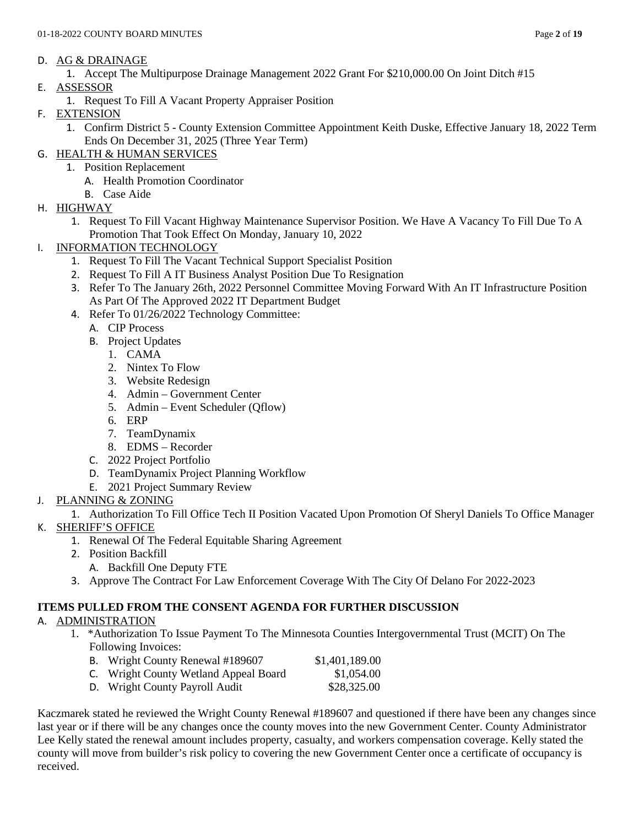#### D. AG & DRAINAGE

1. Accept The Multipurpose Drainage Management 2022 Grant For \$210,000.00 On Joint Ditch #15

- E. ASSESSOR
	- 1. Request To Fill A Vacant Property Appraiser Position
- F. EXTENSION
	- 1. Confirm District 5 County Extension Committee Appointment Keith Duske, Effective January 18, 2022 Term Ends On December 31, 2025 (Three Year Term)
- G. HEALTH & HUMAN SERVICES
	- 1. Position Replacement
		- A. Health Promotion Coordinator
		- B. Case Aide
- H. HIGHWAY
	- 1. Request To Fill Vacant Highway Maintenance Supervisor Position. We Have A Vacancy To Fill Due To A Promotion That Took Effect On Monday, January 10, 2022
- I. INFORMATION TECHNOLOGY
	- 1. Request To Fill The Vacant Technical Support Specialist Position
	- 2. Request To Fill A IT Business Analyst Position Due To Resignation
	- 3. Refer To The January 26th, 2022 Personnel Committee Moving Forward With An IT Infrastructure Position As Part Of The Approved 2022 IT Department Budget
	- 4. Refer To 01/26/2022 Technology Committee:
		- A. CIP Process
		- B. Project Updates
			- 1. CAMA
			- 2. Nintex To Flow
			- 3. Website Redesign
			- 4. Admin Government Center
			- 5. Admin Event Scheduler (Qflow)
			- 6. ERP
			- 7. TeamDynamix
			- 8. EDMS Recorder
		- C. 2022 Project Portfolio
		- D. TeamDynamix Project Planning Workflow
		- E. 2021 Project Summary Review
- J. PLANNING & ZONING
	- 1. Authorization To Fill Office Tech II Position Vacated Upon Promotion Of Sheryl Daniels To Office Manager
- K. SHERIFF'S OFFICE
	- 1. Renewal Of The Federal Equitable Sharing Agreement
	- 2. Position Backfill
		- A. Backfill One Deputy FTE
	- 3. Approve The Contract For Law Enforcement Coverage With The City Of Delano For 2022-2023

## **ITEMS PULLED FROM THE CONSENT AGENDA FOR FURTHER DISCUSSION**

## A. ADMINISTRATION

- 1. \*Authorization To Issue Payment To The Minnesota Counties Intergovernmental Trust (MCIT) On The Following Invoices:
	- B. Wright County Renewal #189607 \$1,401,189.00 C. Wright County Wetland Appeal Board \$1,054.00
	- D. Wright County Payroll Audit \$28,325.00

Kaczmarek stated he reviewed the Wright County Renewal #189607 and questioned if there have been any changes since last year or if there will be any changes once the county moves into the new Government Center. County Administrator Lee Kelly stated the renewal amount includes property, casualty, and workers compensation coverage. Kelly stated the county will move from builder's risk policy to covering the new Government Center once a certificate of occupancy is received.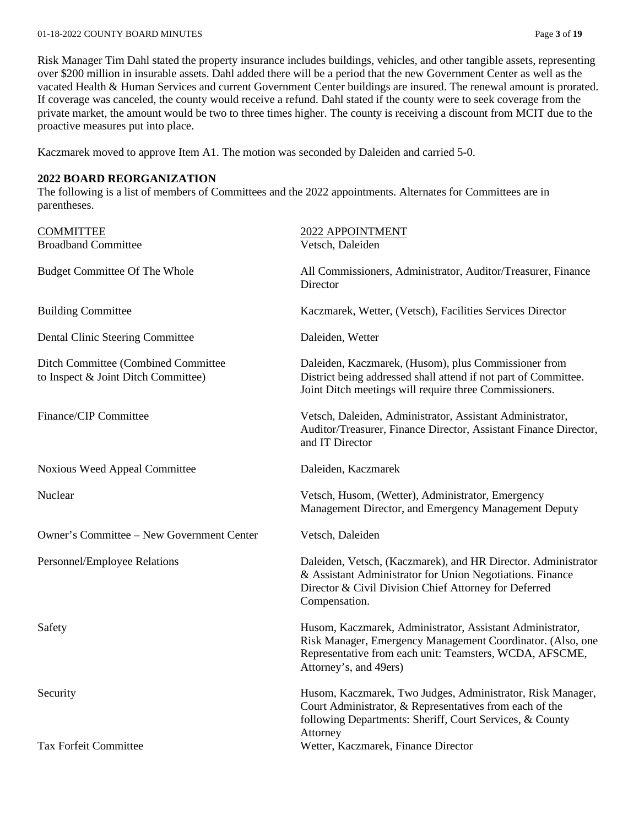#### 01-18-2022 COUNTY BOARD MINUTES Page **3** of **19**

Risk Manager Tim Dahl stated the property insurance includes buildings, vehicles, and other tangible assets, representing over \$200 million in insurable assets. Dahl added there will be a period that the new Government Center as well as the vacated Health & Human Services and current Government Center buildings are insured. The renewal amount is prorated. If coverage was canceled, the county would receive a refund. Dahl stated if the county were to seek coverage from the private market, the amount would be two to three times higher. The county is receiving a discount from MCIT due to the proactive measures put into place.

Kaczmarek moved to approve Item A1. The motion was seconded by Daleiden and carried 5-0.

#### **2022 BOARD REORGANIZATION**

The following is a list of members of Committees and the 2022 appointments. Alternates for Committees are in parentheses.

| <b>COMMITTEE</b>                                                           | 2022 APPOINTMENT                                                                                                                                                                                             |
|----------------------------------------------------------------------------|--------------------------------------------------------------------------------------------------------------------------------------------------------------------------------------------------------------|
| <b>Broadband Committee</b>                                                 | Vetsch, Daleiden                                                                                                                                                                                             |
| <b>Budget Committee Of The Whole</b>                                       | All Commissioners, Administrator, Auditor/Treasurer, Finance<br>Director                                                                                                                                     |
| <b>Building Committee</b>                                                  | Kaczmarek, Wetter, (Vetsch), Facilities Services Director                                                                                                                                                    |
| Dental Clinic Steering Committee                                           | Daleiden, Wetter                                                                                                                                                                                             |
| Ditch Committee (Combined Committee<br>to Inspect & Joint Ditch Committee) | Daleiden, Kaczmarek, (Husom), plus Commissioner from<br>District being addressed shall attend if not part of Committee.<br>Joint Ditch meetings will require three Commissioners.                            |
| Finance/CIP Committee                                                      | Vetsch, Daleiden, Administrator, Assistant Administrator,<br>Auditor/Treasurer, Finance Director, Assistant Finance Director,<br>and IT Director                                                             |
| Noxious Weed Appeal Committee                                              | Daleiden, Kaczmarek                                                                                                                                                                                          |
| Nuclear                                                                    | Vetsch, Husom, (Wetter), Administrator, Emergency<br>Management Director, and Emergency Management Deputy                                                                                                    |
| Owner's Committee – New Government Center                                  | Vetsch, Daleiden                                                                                                                                                                                             |
| Personnel/Employee Relations                                               | Daleiden, Vetsch, (Kaczmarek), and HR Director. Administrator<br>& Assistant Administrator for Union Negotiations. Finance<br>Director & Civil Division Chief Attorney for Deferred<br>Compensation.         |
| Safety                                                                     | Husom, Kaczmarek, Administrator, Assistant Administrator,<br>Risk Manager, Emergency Management Coordinator. (Also, one<br>Representative from each unit: Teamsters, WCDA, AFSCME,<br>Attorney's, and 49ers) |
| Security                                                                   | Husom, Kaczmarek, Two Judges, Administrator, Risk Manager,<br>Court Administrator, & Representatives from each of the<br>following Departments: Sheriff, Court Services, & County<br>Attorney                |
| <b>Tax Forfeit Committee</b>                                               | Wetter, Kaczmarek, Finance Director                                                                                                                                                                          |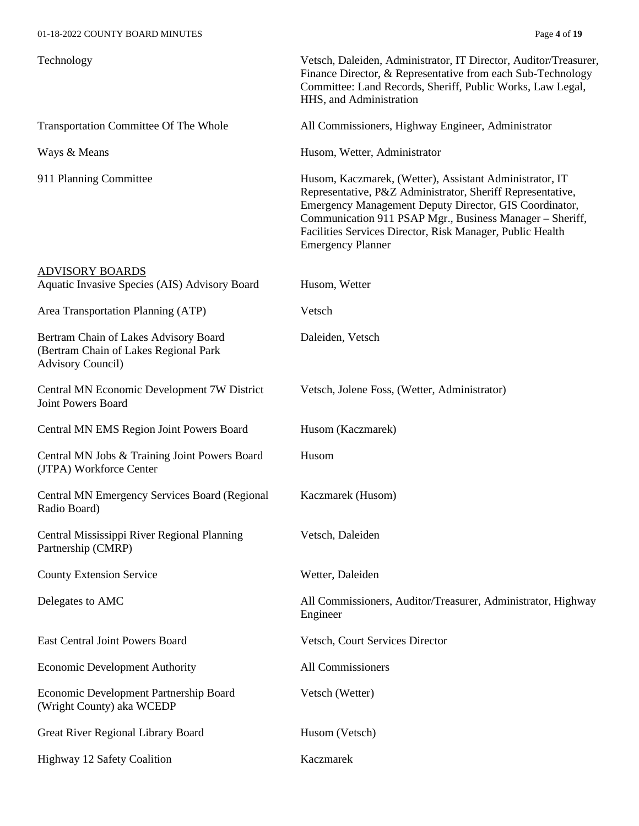| Technology                                                                                                 | Vetsch, Daleiden, Administrator, IT Director, Auditor/Treasurer,<br>Finance Director, & Representative from each Sub-Technology<br>Committee: Land Records, Sheriff, Public Works, Law Legal,<br>HHS, and Administration                                                                                                             |
|------------------------------------------------------------------------------------------------------------|--------------------------------------------------------------------------------------------------------------------------------------------------------------------------------------------------------------------------------------------------------------------------------------------------------------------------------------|
| Transportation Committee Of The Whole                                                                      | All Commissioners, Highway Engineer, Administrator                                                                                                                                                                                                                                                                                   |
| Ways & Means                                                                                               | Husom, Wetter, Administrator                                                                                                                                                                                                                                                                                                         |
| 911 Planning Committee                                                                                     | Husom, Kaczmarek, (Wetter), Assistant Administrator, IT<br>Representative, P&Z Administrator, Sheriff Representative,<br>Emergency Management Deputy Director, GIS Coordinator,<br>Communication 911 PSAP Mgr., Business Manager - Sheriff,<br>Facilities Services Director, Risk Manager, Public Health<br><b>Emergency Planner</b> |
| <b>ADVISORY BOARDS</b>                                                                                     |                                                                                                                                                                                                                                                                                                                                      |
| Aquatic Invasive Species (AIS) Advisory Board                                                              | Husom, Wetter                                                                                                                                                                                                                                                                                                                        |
| Area Transportation Planning (ATP)                                                                         | Vetsch                                                                                                                                                                                                                                                                                                                               |
| Bertram Chain of Lakes Advisory Board<br>(Bertram Chain of Lakes Regional Park<br><b>Advisory Council)</b> | Daleiden, Vetsch                                                                                                                                                                                                                                                                                                                     |
| Central MN Economic Development 7W District<br>Joint Powers Board                                          | Vetsch, Jolene Foss, (Wetter, Administrator)                                                                                                                                                                                                                                                                                         |
| Central MN EMS Region Joint Powers Board                                                                   | Husom (Kaczmarek)                                                                                                                                                                                                                                                                                                                    |
| Central MN Jobs & Training Joint Powers Board<br>(JTPA) Workforce Center                                   | Husom                                                                                                                                                                                                                                                                                                                                |
| Central MN Emergency Services Board (Regional<br>Radio Board)                                              | Kaczmarek (Husom)                                                                                                                                                                                                                                                                                                                    |
| Central Mississippi River Regional Planning<br>Partnership (CMRP)                                          | Vetsch, Daleiden                                                                                                                                                                                                                                                                                                                     |
| <b>County Extension Service</b>                                                                            | Wetter, Daleiden                                                                                                                                                                                                                                                                                                                     |
| Delegates to AMC                                                                                           | All Commissioners, Auditor/Treasurer, Administrator, Highway<br>Engineer                                                                                                                                                                                                                                                             |
| <b>East Central Joint Powers Board</b>                                                                     | Vetsch, Court Services Director                                                                                                                                                                                                                                                                                                      |
| <b>Economic Development Authority</b>                                                                      | All Commissioners                                                                                                                                                                                                                                                                                                                    |
| Economic Development Partnership Board<br>(Wright County) aka WCEDP                                        | Vetsch (Wetter)                                                                                                                                                                                                                                                                                                                      |
| Great River Regional Library Board                                                                         | Husom (Vetsch)                                                                                                                                                                                                                                                                                                                       |
| Highway 12 Safety Coalition                                                                                | Kaczmarek                                                                                                                                                                                                                                                                                                                            |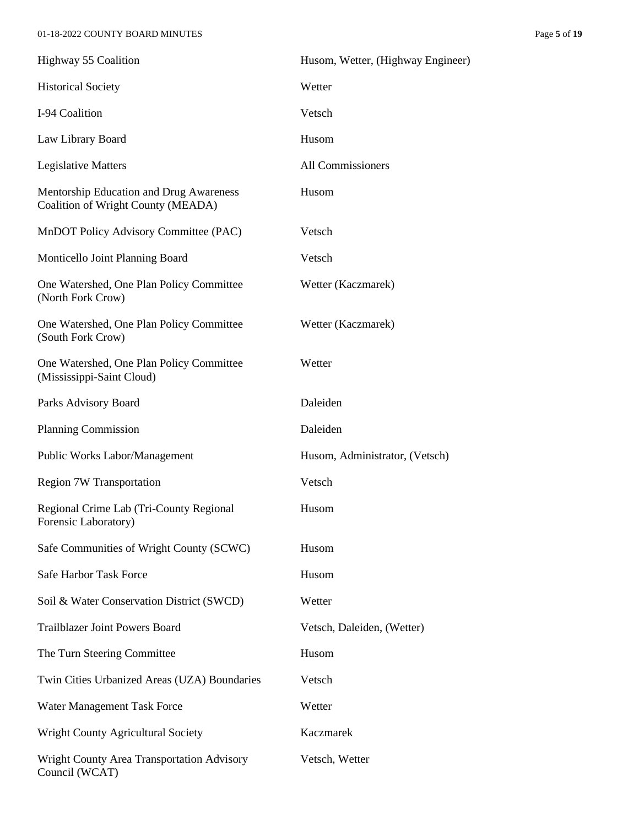#### 01-18-2022 COUNTY BOARD MINUTES Page **5** of **19**

| Highway 55 Coalition                                                          | Husom, Wetter, (Highway Engineer) |
|-------------------------------------------------------------------------------|-----------------------------------|
| <b>Historical Society</b>                                                     | Wetter                            |
| I-94 Coalition                                                                | Vetsch                            |
| Law Library Board                                                             | Husom                             |
| <b>Legislative Matters</b>                                                    | All Commissioners                 |
| Mentorship Education and Drug Awareness<br>Coalition of Wright County (MEADA) | Husom                             |
| MnDOT Policy Advisory Committee (PAC)                                         | Vetsch                            |
| Monticello Joint Planning Board                                               | Vetsch                            |
| One Watershed, One Plan Policy Committee<br>(North Fork Crow)                 | Wetter (Kaczmarek)                |
| One Watershed, One Plan Policy Committee<br>(South Fork Crow)                 | Wetter (Kaczmarek)                |
| One Watershed, One Plan Policy Committee<br>(Mississippi-Saint Cloud)         | Wetter                            |
| Parks Advisory Board                                                          | Daleiden                          |
| <b>Planning Commission</b>                                                    | Daleiden                          |
| Public Works Labor/Management                                                 | Husom, Administrator, (Vetsch)    |
| <b>Region 7W Transportation</b>                                               | Vetsch                            |
| Regional Crime Lab (Tri-County Regional<br>Forensic Laboratory)               | Husom                             |
| Safe Communities of Wright County (SCWC)                                      | Husom                             |
| Safe Harbor Task Force                                                        | Husom                             |
| Soil & Water Conservation District (SWCD)                                     | Wetter                            |
| <b>Trailblazer Joint Powers Board</b>                                         | Vetsch, Daleiden, (Wetter)        |
| The Turn Steering Committee                                                   | Husom                             |
| Twin Cities Urbanized Areas (UZA) Boundaries                                  | Vetsch                            |
| Water Management Task Force                                                   | Wetter                            |
| <b>Wright County Agricultural Society</b>                                     | Kaczmarek                         |
| Wright County Area Transportation Advisory<br>Council (WCAT)                  | Vetsch, Wetter                    |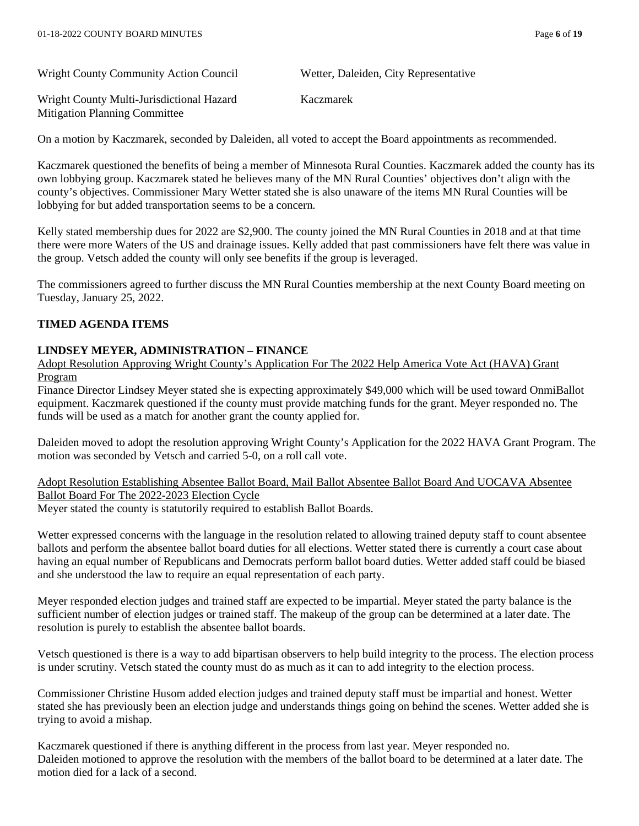Wright County Community Action Council Wetter, Daleiden, City Representative

Wright County Multi-Jurisdictional Hazard Kaczmarek Mitigation Planning Committee

On a motion by Kaczmarek, seconded by Daleiden, all voted to accept the Board appointments as recommended.

Kaczmarek questioned the benefits of being a member of Minnesota Rural Counties. Kaczmarek added the county has its own lobbying group. Kaczmarek stated he believes many of the MN Rural Counties' objectives don't align with the county's objectives. Commissioner Mary Wetter stated she is also unaware of the items MN Rural Counties will be lobbying for but added transportation seems to be a concern.

Kelly stated membership dues for 2022 are \$2,900. The county joined the MN Rural Counties in 2018 and at that time there were more Waters of the US and drainage issues. Kelly added that past commissioners have felt there was value in the group. Vetsch added the county will only see benefits if the group is leveraged.

The commissioners agreed to further discuss the MN Rural Counties membership at the next County Board meeting on Tuesday, January 25, 2022.

#### **TIMED AGENDA ITEMS**

#### **LINDSEY MEYER, ADMINISTRATION – FINANCE**

Adopt Resolution Approving Wright County's Application For The 2022 Help America Vote Act (HAVA) Grant Program

Finance Director Lindsey Meyer stated she is expecting approximately \$49,000 which will be used toward OnmiBallot equipment. Kaczmarek questioned if the county must provide matching funds for the grant. Meyer responded no. The funds will be used as a match for another grant the county applied for.

Daleiden moved to adopt the resolution approving Wright County's Application for the 2022 HAVA Grant Program. The motion was seconded by Vetsch and carried 5-0, on a roll call vote.

Adopt Resolution Establishing Absentee Ballot Board, Mail Ballot Absentee Ballot Board And UOCAVA Absentee Ballot Board For The 2022-2023 Election Cycle

Meyer stated the county is statutorily required to establish Ballot Boards.

Wetter expressed concerns with the language in the resolution related to allowing trained deputy staff to count absentee ballots and perform the absentee ballot board duties for all elections. Wetter stated there is currently a court case about having an equal number of Republicans and Democrats perform ballot board duties. Wetter added staff could be biased and she understood the law to require an equal representation of each party.

Meyer responded election judges and trained staff are expected to be impartial. Meyer stated the party balance is the sufficient number of election judges or trained staff. The makeup of the group can be determined at a later date. The resolution is purely to establish the absentee ballot boards.

Vetsch questioned is there is a way to add bipartisan observers to help build integrity to the process. The election process is under scrutiny. Vetsch stated the county must do as much as it can to add integrity to the election process.

Commissioner Christine Husom added election judges and trained deputy staff must be impartial and honest. Wetter stated she has previously been an election judge and understands things going on behind the scenes. Wetter added she is trying to avoid a mishap.

Kaczmarek questioned if there is anything different in the process from last year. Meyer responded no. Daleiden motioned to approve the resolution with the members of the ballot board to be determined at a later date. The motion died for a lack of a second.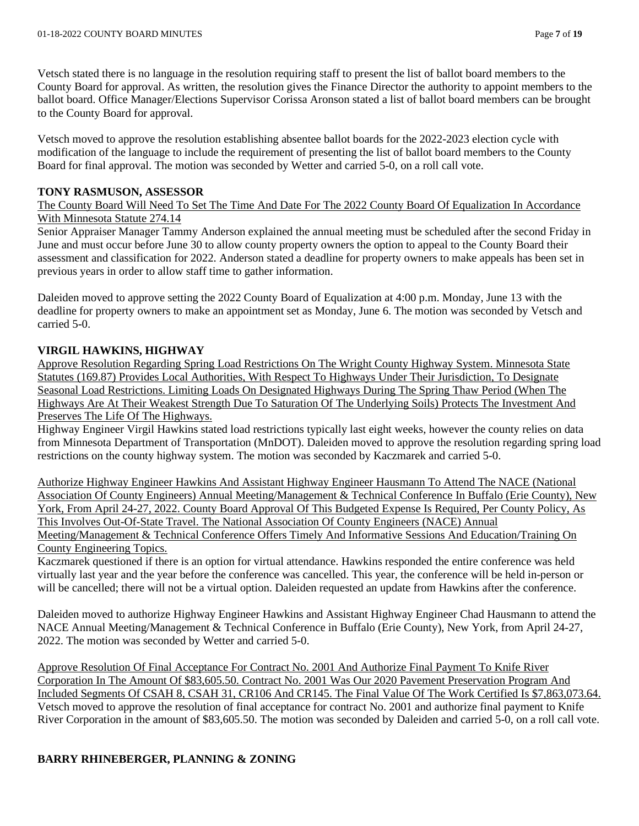Vetsch stated there is no language in the resolution requiring staff to present the list of ballot board members to the County Board for approval. As written, the resolution gives the Finance Director the authority to appoint members to the ballot board. Office Manager/Elections Supervisor Corissa Aronson stated a list of ballot board members can be brought to the County Board for approval.

Vetsch moved to approve the resolution establishing absentee ballot boards for the 2022-2023 election cycle with modification of the language to include the requirement of presenting the list of ballot board members to the County Board for final approval. The motion was seconded by Wetter and carried 5-0, on a roll call vote.

## **TONY RASMUSON, ASSESSOR**

The County Board Will Need To Set The Time And Date For The 2022 County Board Of Equalization In Accordance With Minnesota Statute 274.14

Senior Appraiser Manager Tammy Anderson explained the annual meeting must be scheduled after the second Friday in June and must occur before June 30 to allow county property owners the option to appeal to the County Board their assessment and classification for 2022. Anderson stated a deadline for property owners to make appeals has been set in previous years in order to allow staff time to gather information.

Daleiden moved to approve setting the 2022 County Board of Equalization at 4:00 p.m. Monday, June 13 with the deadline for property owners to make an appointment set as Monday, June 6. The motion was seconded by Vetsch and carried 5-0.

# **VIRGIL HAWKINS, HIGHWAY**

Approve Resolution Regarding Spring Load Restrictions On The Wright County Highway System. Minnesota State Statutes (169.87) Provides Local Authorities, With Respect To Highways Under Their Jurisdiction, To Designate Seasonal Load Restrictions. Limiting Loads On Designated Highways During The Spring Thaw Period (When The Highways Are At Their Weakest Strength Due To Saturation Of The Underlying Soils) Protects The Investment And Preserves The Life Of The Highways.

Highway Engineer Virgil Hawkins stated load restrictions typically last eight weeks, however the county relies on data from Minnesota Department of Transportation (MnDOT). Daleiden moved to approve the resolution regarding spring load restrictions on the county highway system. The motion was seconded by Kaczmarek and carried 5-0.

Authorize Highway Engineer Hawkins And Assistant Highway Engineer Hausmann To Attend The NACE (National Association Of County Engineers) Annual Meeting/Management & Technical Conference In Buffalo (Erie County), New York, From April 24-27, 2022. County Board Approval Of This Budgeted Expense Is Required, Per County Policy, As This Involves Out-Of-State Travel. The National Association Of County Engineers (NACE) Annual Meeting/Management & Technical Conference Offers Timely And Informative Sessions And Education/Training On County Engineering Topics.

Kaczmarek questioned if there is an option for virtual attendance. Hawkins responded the entire conference was held virtually last year and the year before the conference was cancelled. This year, the conference will be held in-person or will be cancelled; there will not be a virtual option. Daleiden requested an update from Hawkins after the conference.

Daleiden moved to authorize Highway Engineer Hawkins and Assistant Highway Engineer Chad Hausmann to attend the NACE Annual Meeting/Management & Technical Conference in Buffalo (Erie County), New York, from April 24-27, 2022. The motion was seconded by Wetter and carried 5-0.

Approve Resolution Of Final Acceptance For Contract No. 2001 And Authorize Final Payment To Knife River Corporation In The Amount Of \$83,605.50. Contract No. 2001 Was Our 2020 Pavement Preservation Program And Included Segments Of CSAH 8, CSAH 31, CR106 And CR145. The Final Value Of The Work Certified Is \$7,863,073.64. Vetsch moved to approve the resolution of final acceptance for contract No. 2001 and authorize final payment to Knife River Corporation in the amount of \$83,605.50. The motion was seconded by Daleiden and carried 5-0, on a roll call vote.

# **BARRY RHINEBERGER, PLANNING & ZONING**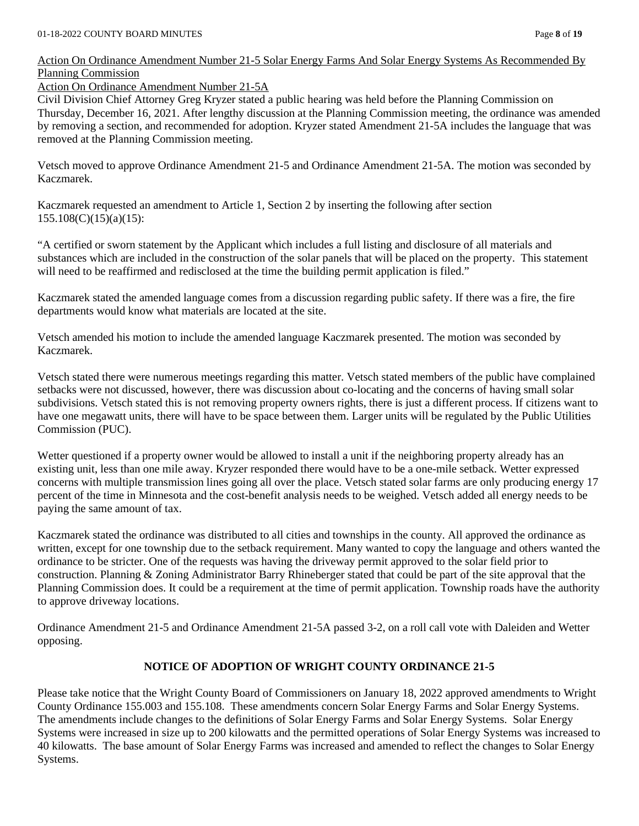### Action On Ordinance Amendment Number 21-5 Solar Energy Farms And Solar Energy Systems As Recommended By Planning Commission

Action On Ordinance Amendment Number 21-5A

Civil Division Chief Attorney Greg Kryzer stated a public hearing was held before the Planning Commission on Thursday, December 16, 2021. After lengthy discussion at the Planning Commission meeting, the ordinance was amended by removing a section, and recommended for adoption. Kryzer stated Amendment 21-5A includes the language that was removed at the Planning Commission meeting.

Vetsch moved to approve Ordinance Amendment 21-5 and Ordinance Amendment 21-5A. The motion was seconded by Kaczmarek.

Kaczmarek requested an amendment to Article 1, Section 2 by inserting the following after section 155.108(C)(15)(a)(15):

"A certified or sworn statement by the Applicant which includes a full listing and disclosure of all materials and substances which are included in the construction of the solar panels that will be placed on the property. This statement will need to be reaffirmed and redisclosed at the time the building permit application is filed."

Kaczmarek stated the amended language comes from a discussion regarding public safety. If there was a fire, the fire departments would know what materials are located at the site.

Vetsch amended his motion to include the amended language Kaczmarek presented. The motion was seconded by Kaczmarek.

Vetsch stated there were numerous meetings regarding this matter. Vetsch stated members of the public have complained setbacks were not discussed, however, there was discussion about co-locating and the concerns of having small solar subdivisions. Vetsch stated this is not removing property owners rights, there is just a different process. If citizens want to have one megawatt units, there will have to be space between them. Larger units will be regulated by the Public Utilities Commission (PUC).

Wetter questioned if a property owner would be allowed to install a unit if the neighboring property already has an existing unit, less than one mile away. Kryzer responded there would have to be a one-mile setback. Wetter expressed concerns with multiple transmission lines going all over the place. Vetsch stated solar farms are only producing energy 17 percent of the time in Minnesota and the cost-benefit analysis needs to be weighed. Vetsch added all energy needs to be paying the same amount of tax.

Kaczmarek stated the ordinance was distributed to all cities and townships in the county. All approved the ordinance as written, except for one township due to the setback requirement. Many wanted to copy the language and others wanted the ordinance to be stricter. One of the requests was having the driveway permit approved to the solar field prior to construction. Planning & Zoning Administrator Barry Rhineberger stated that could be part of the site approval that the Planning Commission does. It could be a requirement at the time of permit application. Township roads have the authority to approve driveway locations.

Ordinance Amendment 21-5 and Ordinance Amendment 21-5A passed 3-2, on a roll call vote with Daleiden and Wetter opposing.

# **NOTICE OF ADOPTION OF WRIGHT COUNTY ORDINANCE 21-5**

Please take notice that the Wright County Board of Commissioners on January 18, 2022 approved amendments to Wright County Ordinance 155.003 and 155.108. These amendments concern Solar Energy Farms and Solar Energy Systems. The amendments include changes to the definitions of Solar Energy Farms and Solar Energy Systems. Solar Energy Systems were increased in size up to 200 kilowatts and the permitted operations of Solar Energy Systems was increased to 40 kilowatts. The base amount of Solar Energy Farms was increased and amended to reflect the changes to Solar Energy Systems.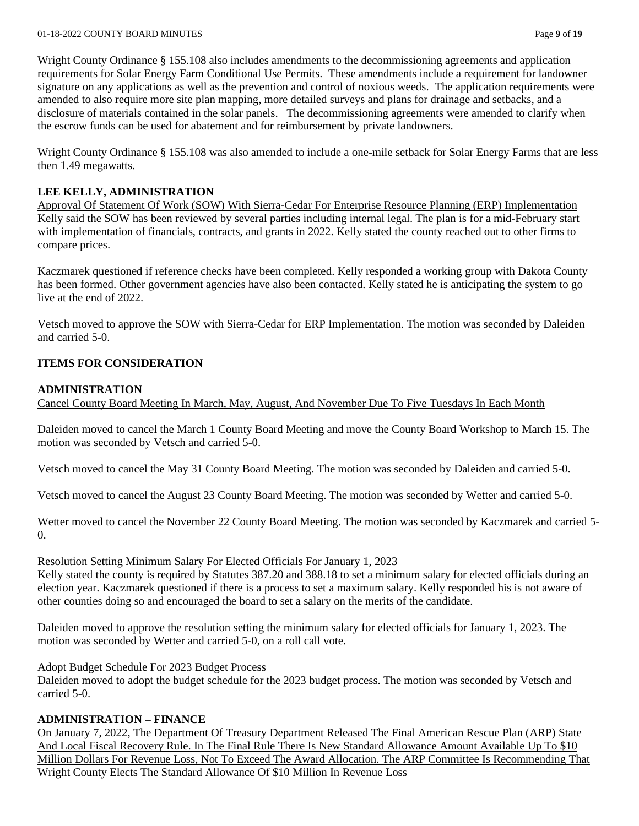Wright County Ordinance § 155.108 also includes amendments to the decommissioning agreements and application requirements for Solar Energy Farm Conditional Use Permits. These amendments include a requirement for landowner signature on any applications as well as the prevention and control of noxious weeds. The application requirements were amended to also require more site plan mapping, more detailed surveys and plans for drainage and setbacks, and a disclosure of materials contained in the solar panels. The decommissioning agreements were amended to clarify when the escrow funds can be used for abatement and for reimbursement by private landowners.

Wright County Ordinance § 155.108 was also amended to include a one-mile setback for Solar Energy Farms that are less then 1.49 megawatts.

## **LEE KELLY, ADMINISTRATION**

Approval Of Statement Of Work (SOW) With Sierra-Cedar For Enterprise Resource Planning (ERP) Implementation Kelly said the SOW has been reviewed by several parties including internal legal. The plan is for a mid-February start with implementation of financials, contracts, and grants in 2022. Kelly stated the county reached out to other firms to compare prices.

Kaczmarek questioned if reference checks have been completed. Kelly responded a working group with Dakota County has been formed. Other government agencies have also been contacted. Kelly stated he is anticipating the system to go live at the end of 2022.

Vetsch moved to approve the SOW with Sierra-Cedar for ERP Implementation. The motion was seconded by Daleiden and carried 5-0.

## **ITEMS FOR CONSIDERATION**

## **ADMINISTRATION**

Cancel County Board Meeting In March, May, August, And November Due To Five Tuesdays In Each Month

Daleiden moved to cancel the March 1 County Board Meeting and move the County Board Workshop to March 15. The motion was seconded by Vetsch and carried 5-0.

Vetsch moved to cancel the May 31 County Board Meeting. The motion was seconded by Daleiden and carried 5-0.

Vetsch moved to cancel the August 23 County Board Meeting. The motion was seconded by Wetter and carried 5-0.

Wetter moved to cancel the November 22 County Board Meeting. The motion was seconded by Kaczmarek and carried 5-  $\overline{0}$ .

#### Resolution Setting Minimum Salary For Elected Officials For January 1, 2023

Kelly stated the county is required by Statutes 387.20 and 388.18 to set a minimum salary for elected officials during an election year. Kaczmarek questioned if there is a process to set a maximum salary. Kelly responded his is not aware of other counties doing so and encouraged the board to set a salary on the merits of the candidate.

Daleiden moved to approve the resolution setting the minimum salary for elected officials for January 1, 2023. The motion was seconded by Wetter and carried 5-0, on a roll call vote.

#### Adopt Budget Schedule For 2023 Budget Process

Daleiden moved to adopt the budget schedule for the 2023 budget process. The motion was seconded by Vetsch and carried 5-0.

# **ADMINISTRATION – FINANCE**

On January 7, 2022, The Department Of Treasury Department Released The Final American Rescue Plan (ARP) State And Local Fiscal Recovery Rule. In The Final Rule There Is New Standard Allowance Amount Available Up To \$10 Million Dollars For Revenue Loss, Not To Exceed The Award Allocation. The ARP Committee Is Recommending That Wright County Elects The Standard Allowance Of \$10 Million In Revenue Loss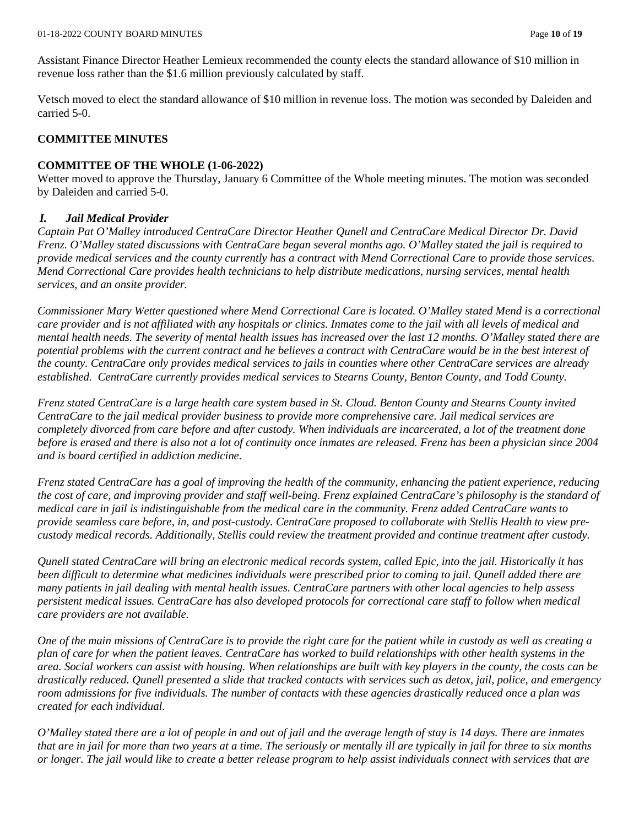Assistant Finance Director Heather Lemieux recommended the county elects the standard allowance of \$10 million in revenue loss rather than the \$1.6 million previously calculated by staff.

Vetsch moved to elect the standard allowance of \$10 million in revenue loss. The motion was seconded by Daleiden and carried 5-0.

### **COMMITTEE MINUTES**

#### **COMMITTEE OF THE WHOLE (1-06-2022)**

Wetter moved to approve the Thursday, January 6 Committee of the Whole meeting minutes. The motion was seconded by Daleiden and carried 5-0.

#### *I. Jail Medical Provider*

*Captain Pat O'Malley introduced CentraCare Director Heather Qunell and CentraCare Medical Director Dr. David Frenz. O'Malley stated discussions with CentraCare began several months ago. O'Malley stated the jail is required to provide medical services and the county currently has a contract with Mend Correctional Care to provide those services. Mend Correctional Care provides health technicians to help distribute medications, nursing services, mental health services, and an onsite provider.* 

*Commissioner Mary Wetter questioned where Mend Correctional Care is located. O'Malley stated Mend is a correctional care provider and is not affiliated with any hospitals or clinics. Inmates come to the jail with all levels of medical and mental health needs. The severity of mental health issues has increased over the last 12 months. O'Malley stated there are potential problems with the current contract and he believes a contract with CentraCare would be in the best interest of the county. CentraCare only provides medical services to jails in counties where other CentraCare services are already established. CentraCare currently provides medical services to Stearns County, Benton County, and Todd County.* 

*Frenz stated CentraCare is a large health care system based in St. Cloud. Benton County and Stearns County invited CentraCare to the jail medical provider business to provide more comprehensive care. Jail medical services are completely divorced from care before and after custody. When individuals are incarcerated, a lot of the treatment done before is erased and there is also not a lot of continuity once inmates are released. Frenz has been a physician since 2004 and is board certified in addiction medicine.* 

*Frenz stated CentraCare has a goal of improving the health of the community, enhancing the patient experience, reducing the cost of care, and improving provider and staff well-being. Frenz explained CentraCare's philosophy is the standard of medical care in jail is indistinguishable from the medical care in the community. Frenz added CentraCare wants to provide seamless care before, in, and post-custody. CentraCare proposed to collaborate with Stellis Health to view precustody medical records. Additionally, Stellis could review the treatment provided and continue treatment after custody.* 

*Qunell stated CentraCare will bring an electronic medical records system, called Epic, into the jail. Historically it has been difficult to determine what medicines individuals were prescribed prior to coming to jail. Qunell added there are many patients in jail dealing with mental health issues. CentraCare partners with other local agencies to help assess persistent medical issues. CentraCare has also developed protocols for correctional care staff to follow when medical care providers are not available.* 

*One of the main missions of CentraCare is to provide the right care for the patient while in custody as well as creating a plan of care for when the patient leaves. CentraCare has worked to build relationships with other health systems in the area. Social workers can assist with housing. When relationships are built with key players in the county, the costs can be drastically reduced. Qunell presented a slide that tracked contacts with services such as detox, jail, police, and emergency room admissions for five individuals. The number of contacts with these agencies drastically reduced once a plan was created for each individual.* 

*O'Malley stated there are a lot of people in and out of jail and the average length of stay is 14 days. There are inmates that are in jail for more than two years at a time. The seriously or mentally ill are typically in jail for three to six months or longer. The jail would like to create a better release program to help assist individuals connect with services that are*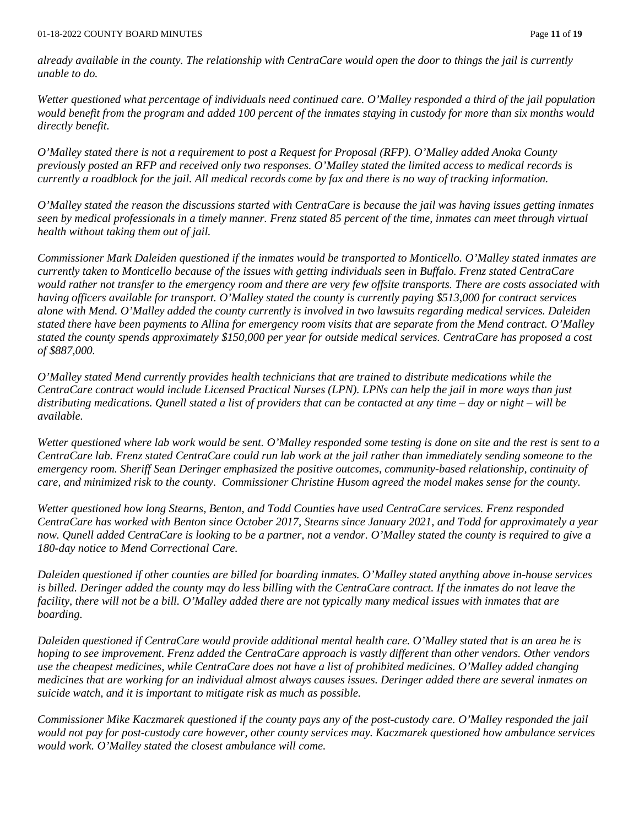*already available in the county. The relationship with CentraCare would open the door to things the jail is currently unable to do.* 

*Wetter questioned what percentage of individuals need continued care. O'Malley responded a third of the jail population would benefit from the program and added 100 percent of the inmates staying in custody for more than six months would directly benefit.* 

*O'Malley stated there is not a requirement to post a Request for Proposal (RFP). O'Malley added Anoka County previously posted an RFP and received only two responses. O'Malley stated the limited access to medical records is currently a roadblock for the jail. All medical records come by fax and there is no way of tracking information.* 

*O'Malley stated the reason the discussions started with CentraCare is because the jail was having issues getting inmates seen by medical professionals in a timely manner. Frenz stated 85 percent of the time, inmates can meet through virtual health without taking them out of jail.* 

*Commissioner Mark Daleiden questioned if the inmates would be transported to Monticello. O'Malley stated inmates are currently taken to Monticello because of the issues with getting individuals seen in Buffalo. Frenz stated CentraCare would rather not transfer to the emergency room and there are very few offsite transports. There are costs associated with having officers available for transport. O'Malley stated the county is currently paying \$513,000 for contract services alone with Mend. O'Malley added the county currently is involved in two lawsuits regarding medical services. Daleiden stated there have been payments to Allina for emergency room visits that are separate from the Mend contract. O'Malley stated the county spends approximately \$150,000 per year for outside medical services. CentraCare has proposed a cost of \$887,000.*

*O'Malley stated Mend currently provides health technicians that are trained to distribute medications while the CentraCare contract would include Licensed Practical Nurses (LPN). LPNs can help the jail in more ways than just distributing medications. Qunell stated a list of providers that can be contacted at any time – day or night – will be available.* 

*Wetter questioned where lab work would be sent. O'Malley responded some testing is done on site and the rest is sent to a CentraCare lab. Frenz stated CentraCare could run lab work at the jail rather than immediately sending someone to the emergency room. Sheriff Sean Deringer emphasized the positive outcomes, community-based relationship, continuity of care, and minimized risk to the county. Commissioner Christine Husom agreed the model makes sense for the county.* 

*Wetter questioned how long Stearns, Benton, and Todd Counties have used CentraCare services. Frenz responded CentraCare has worked with Benton since October 2017, Stearns since January 2021, and Todd for approximately a year now. Qunell added CentraCare is looking to be a partner, not a vendor. O'Malley stated the county is required to give a 180-day notice to Mend Correctional Care.* 

*Daleiden questioned if other counties are billed for boarding inmates. O'Malley stated anything above in-house services is billed. Deringer added the county may do less billing with the CentraCare contract. If the inmates do not leave the facility, there will not be a bill. O'Malley added there are not typically many medical issues with inmates that are boarding.* 

*Daleiden questioned if CentraCare would provide additional mental health care. O'Malley stated that is an area he is hoping to see improvement. Frenz added the CentraCare approach is vastly different than other vendors. Other vendors use the cheapest medicines, while CentraCare does not have a list of prohibited medicines. O'Malley added changing medicines that are working for an individual almost always causes issues. Deringer added there are several inmates on suicide watch, and it is important to mitigate risk as much as possible.* 

*Commissioner Mike Kaczmarek questioned if the county pays any of the post-custody care. O'Malley responded the jail would not pay for post-custody care however, other county services may. Kaczmarek questioned how ambulance services would work. O'Malley stated the closest ambulance will come.*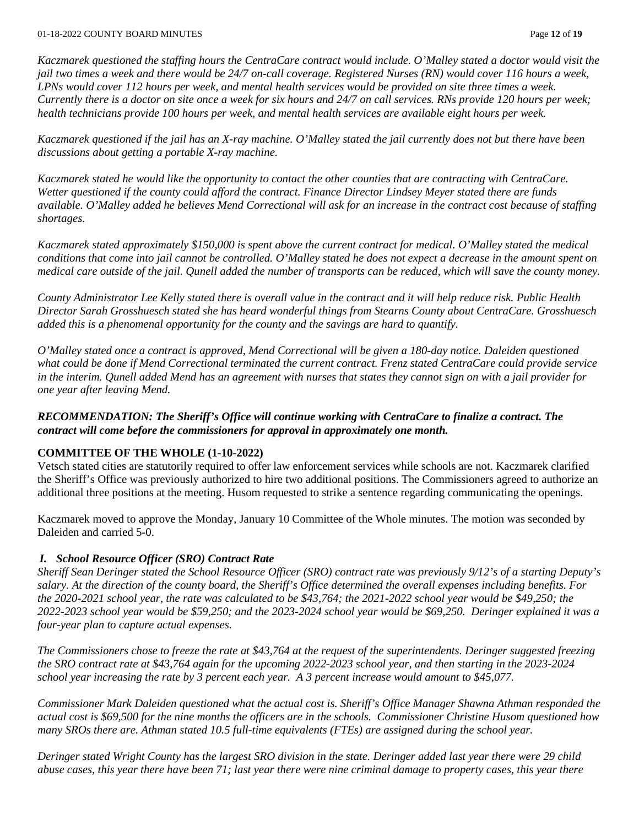#### 01-18-2022 COUNTY BOARD MINUTES Page **12** of **19**

*Kaczmarek questioned the staffing hours the CentraCare contract would include. O'Malley stated a doctor would visit the jail two times a week and there would be 24/7 on-call coverage. Registered Nurses (RN) would cover 116 hours a week, LPNs would cover 112 hours per week, and mental health services would be provided on site three times a week. Currently there is a doctor on site once a week for six hours and 24/7 on call services. RNs provide 120 hours per week; health technicians provide 100 hours per week, and mental health services are available eight hours per week.* 

*Kaczmarek questioned if the jail has an X-ray machine. O'Malley stated the jail currently does not but there have been discussions about getting a portable X-ray machine.* 

*Kaczmarek stated he would like the opportunity to contact the other counties that are contracting with CentraCare. Wetter questioned if the county could afford the contract. Finance Director Lindsey Meyer stated there are funds available. O'Malley added he believes Mend Correctional will ask for an increase in the contract cost because of staffing shortages.* 

*Kaczmarek stated approximately \$150,000 is spent above the current contract for medical. O'Malley stated the medical conditions that come into jail cannot be controlled. O'Malley stated he does not expect a decrease in the amount spent on medical care outside of the jail. Qunell added the number of transports can be reduced, which will save the county money.*

*County Administrator Lee Kelly stated there is overall value in the contract and it will help reduce risk. Public Health Director Sarah Grosshuesch stated she has heard wonderful things from Stearns County about CentraCare. Grosshuesch added this is a phenomenal opportunity for the county and the savings are hard to quantify.* 

*O'Malley stated once a contract is approved, Mend Correctional will be given a 180-day notice. Daleiden questioned what could be done if Mend Correctional terminated the current contract. Frenz stated CentraCare could provide service in the interim. Qunell added Mend has an agreement with nurses that states they cannot sign on with a jail provider for one year after leaving Mend.* 

*RECOMMENDATION: The Sheriff's Office will continue working with CentraCare to finalize a contract. The contract will come before the commissioners for approval in approximately one month.* 

## **COMMITTEE OF THE WHOLE (1-10-2022)**

Vetsch stated cities are statutorily required to offer law enforcement services while schools are not. Kaczmarek clarified the Sheriff's Office was previously authorized to hire two additional positions. The Commissioners agreed to authorize an additional three positions at the meeting. Husom requested to strike a sentence regarding communicating the openings.

Kaczmarek moved to approve the Monday, January 10 Committee of the Whole minutes. The motion was seconded by Daleiden and carried 5-0.

## *I. School Resource Officer (SRO) Contract Rate*

*Sheriff Sean Deringer stated the School Resource Officer (SRO) contract rate was previously 9/12's of a starting Deputy's salary. At the direction of the county board, the Sheriff's Office determined the overall expenses including benefits. For the 2020-2021 school year, the rate was calculated to be \$43,764; the 2021-2022 school year would be \$49,250; the 2022-2023 school year would be \$59,250; and the 2023-2024 school year would be \$69,250. Deringer explained it was a four-year plan to capture actual expenses.* 

*The Commissioners chose to freeze the rate at \$43,764 at the request of the superintendents. Deringer suggested freezing the SRO contract rate at \$43,764 again for the upcoming 2022-2023 school year, and then starting in the 2023-2024 school year increasing the rate by 3 percent each year. A 3 percent increase would amount to \$45,077.* 

*Commissioner Mark Daleiden questioned what the actual cost is. Sheriff's Office Manager Shawna Athman responded the actual cost is \$69,500 for the nine months the officers are in the schools. Commissioner Christine Husom questioned how many SROs there are. Athman stated 10.5 full-time equivalents (FTEs) are assigned during the school year.* 

*Deringer stated Wright County has the largest SRO division in the state. Deringer added last year there were 29 child abuse cases, this year there have been 71; last year there were nine criminal damage to property cases, this year there*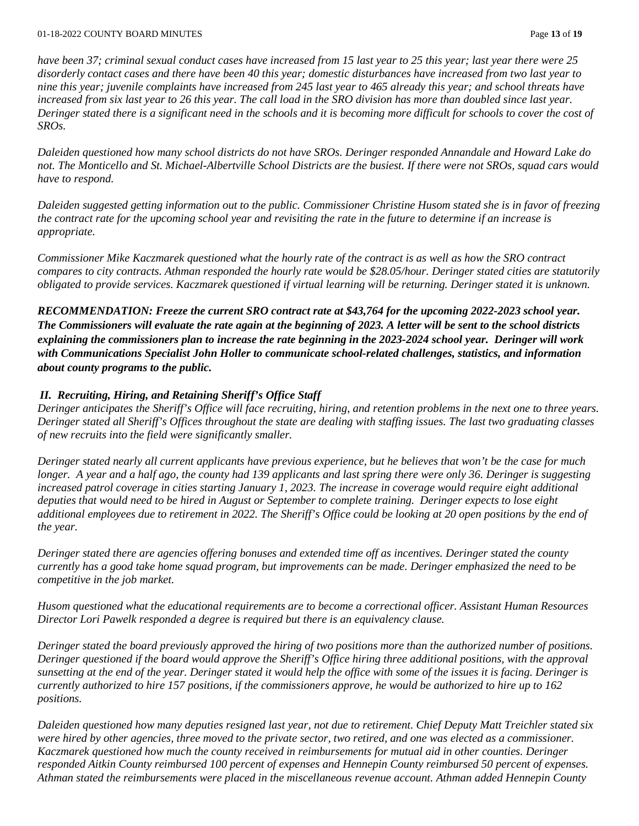*have been 37; criminal sexual conduct cases have increased from 15 last year to 25 this year; last year there were 25 disorderly contact cases and there have been 40 this year; domestic disturbances have increased from two last year to nine this year; juvenile complaints have increased from 245 last year to 465 already this year; and school threats have increased from six last year to 26 this year. The call load in the SRO division has more than doubled since last year. Deringer stated there is a significant need in the schools and it is becoming more difficult for schools to cover the cost of SROs.* 

*Daleiden questioned how many school districts do not have SROs. Deringer responded Annandale and Howard Lake do not. The Monticello and St. Michael-Albertville School Districts are the busiest. If there were not SROs, squad cars would have to respond.*

*Daleiden suggested getting information out to the public. Commissioner Christine Husom stated she is in favor of freezing the contract rate for the upcoming school year and revisiting the rate in the future to determine if an increase is appropriate.* 

*Commissioner Mike Kaczmarek questioned what the hourly rate of the contract is as well as how the SRO contract compares to city contracts. Athman responded the hourly rate would be \$28.05/hour. Deringer stated cities are statutorily obligated to provide services. Kaczmarek questioned if virtual learning will be returning. Deringer stated it is unknown.* 

*RECOMMENDATION: Freeze the current SRO contract rate at \$43,764 for the upcoming 2022-2023 school year. The Commissioners will evaluate the rate again at the beginning of 2023. A letter will be sent to the school districts explaining the commissioners plan to increase the rate beginning in the 2023-2024 school year. Deringer will work with Communications Specialist John Holler to communicate school-related challenges, statistics, and information about county programs to the public.* 

## *II. Recruiting, Hiring, and Retaining Sheriff's Office Staff*

*Deringer anticipates the Sheriff's Office will face recruiting, hiring, and retention problems in the next one to three years. Deringer stated all Sheriff's Offices throughout the state are dealing with staffing issues. The last two graduating classes of new recruits into the field were significantly smaller.* 

*Deringer stated nearly all current applicants have previous experience, but he believes that won't be the case for much longer. A year and a half ago, the county had 139 applicants and last spring there were only 36. Deringer is suggesting increased patrol coverage in cities starting January 1, 2023. The increase in coverage would require eight additional deputies that would need to be hired in August or September to complete training. Deringer expects to lose eight additional employees due to retirement in 2022. The Sheriff's Office could be looking at 20 open positions by the end of the year.* 

*Deringer stated there are agencies offering bonuses and extended time off as incentives. Deringer stated the county currently has a good take home squad program, but improvements can be made. Deringer emphasized the need to be competitive in the job market.* 

*Husom questioned what the educational requirements are to become a correctional officer. Assistant Human Resources Director Lori Pawelk responded a degree is required but there is an equivalency clause.* 

*Deringer stated the board previously approved the hiring of two positions more than the authorized number of positions. Deringer questioned if the board would approve the Sheriff's Office hiring three additional positions, with the approval sunsetting at the end of the year. Deringer stated it would help the office with some of the issues it is facing. Deringer is currently authorized to hire 157 positions, if the commissioners approve, he would be authorized to hire up to 162 positions.* 

*Daleiden questioned how many deputies resigned last year, not due to retirement. Chief Deputy Matt Treichler stated six were hired by other agencies, three moved to the private sector, two retired, and one was elected as a commissioner. Kaczmarek questioned how much the county received in reimbursements for mutual aid in other counties. Deringer responded Aitkin County reimbursed 100 percent of expenses and Hennepin County reimbursed 50 percent of expenses. Athman stated the reimbursements were placed in the miscellaneous revenue account. Athman added Hennepin County*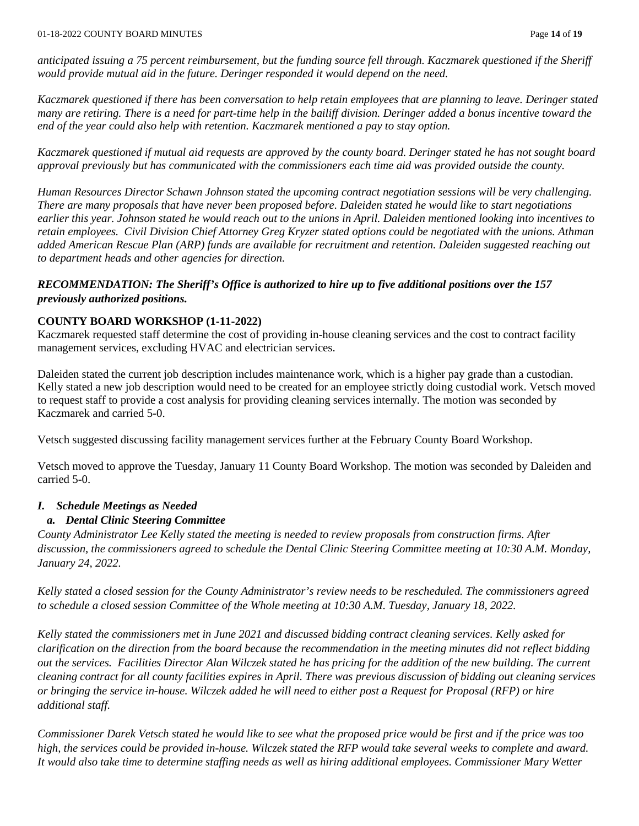*anticipated issuing a 75 percent reimbursement, but the funding source fell through. Kaczmarek questioned if the Sheriff would provide mutual aid in the future. Deringer responded it would depend on the need.* 

*Kaczmarek questioned if there has been conversation to help retain employees that are planning to leave. Deringer stated many are retiring. There is a need for part-time help in the bailiff division. Deringer added a bonus incentive toward the end of the year could also help with retention. Kaczmarek mentioned a pay to stay option.* 

*Kaczmarek questioned if mutual aid requests are approved by the county board. Deringer stated he has not sought board approval previously but has communicated with the commissioners each time aid was provided outside the county.* 

*Human Resources Director Schawn Johnson stated the upcoming contract negotiation sessions will be very challenging. There are many proposals that have never been proposed before. Daleiden stated he would like to start negotiations earlier this year. Johnson stated he would reach out to the unions in April. Daleiden mentioned looking into incentives to retain employees. Civil Division Chief Attorney Greg Kryzer stated options could be negotiated with the unions. Athman added American Rescue Plan (ARP) funds are available for recruitment and retention. Daleiden suggested reaching out to department heads and other agencies for direction.* 

## *RECOMMENDATION: The Sheriff's Office is authorized to hire up to five additional positions over the 157 previously authorized positions.*

## **COUNTY BOARD WORKSHOP (1-11-2022)**

Kaczmarek requested staff determine the cost of providing in-house cleaning services and the cost to contract facility management services, excluding HVAC and electrician services.

Daleiden stated the current job description includes maintenance work, which is a higher pay grade than a custodian. Kelly stated a new job description would need to be created for an employee strictly doing custodial work. Vetsch moved to request staff to provide a cost analysis for providing cleaning services internally. The motion was seconded by Kaczmarek and carried 5-0.

Vetsch suggested discussing facility management services further at the February County Board Workshop.

Vetsch moved to approve the Tuesday, January 11 County Board Workshop. The motion was seconded by Daleiden and carried 5-0.

## *I. Schedule Meetings as Needed*

## *a. Dental Clinic Steering Committee*

*County Administrator Lee Kelly stated the meeting is needed to review proposals from construction firms. After discussion, the commissioners agreed to schedule the Dental Clinic Steering Committee meeting at 10:30 A.M. Monday, January 24, 2022.*

*Kelly stated a closed session for the County Administrator's review needs to be rescheduled. The commissioners agreed to schedule a closed session Committee of the Whole meeting at 10:30 A.M. Tuesday, January 18, 2022.* 

*Kelly stated the commissioners met in June 2021 and discussed bidding contract cleaning services. Kelly asked for clarification on the direction from the board because the recommendation in the meeting minutes did not reflect bidding out the services. Facilities Director Alan Wilczek stated he has pricing for the addition of the new building. The current cleaning contract for all county facilities expires in April. There was previous discussion of bidding out cleaning services or bringing the service in-house. Wilczek added he will need to either post a Request for Proposal (RFP) or hire additional staff.* 

*Commissioner Darek Vetsch stated he would like to see what the proposed price would be first and if the price was too high, the services could be provided in-house. Wilczek stated the RFP would take several weeks to complete and award. It would also take time to determine staffing needs as well as hiring additional employees. Commissioner Mary Wetter*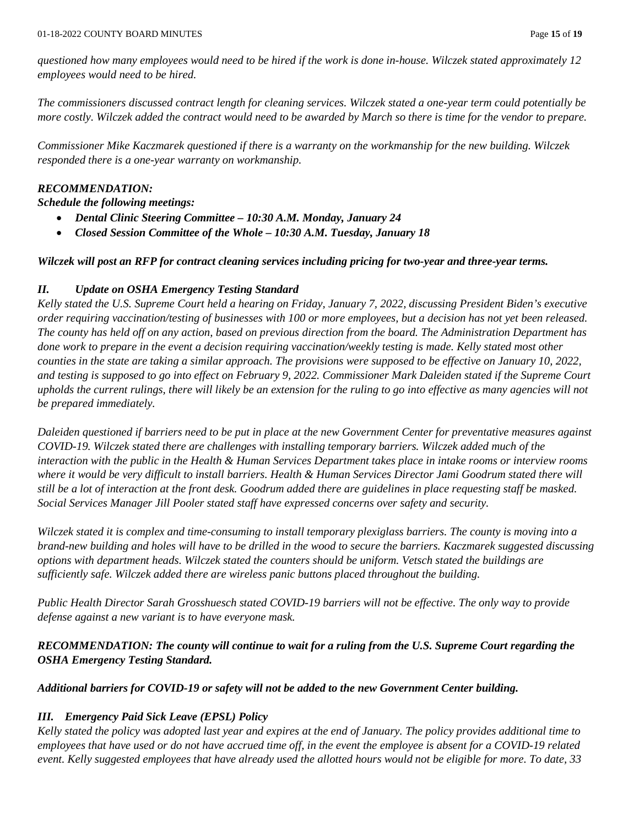*questioned how many employees would need to be hired if the work is done in-house. Wilczek stated approximately 12 employees would need to be hired.* 

*The commissioners discussed contract length for cleaning services. Wilczek stated a one-year term could potentially be more costly. Wilczek added the contract would need to be awarded by March so there is time for the vendor to prepare.* 

*Commissioner Mike Kaczmarek questioned if there is a warranty on the workmanship for the new building. Wilczek responded there is a one-year warranty on workmanship.* 

### *RECOMMENDATION:*

*Schedule the following meetings:* 

- *Dental Clinic Steering Committee – 10:30 A.M. Monday, January 24*
- *Closed Session Committee of the Whole – 10:30 A.M. Tuesday, January 18*

#### *Wilczek will post an RFP for contract cleaning services including pricing for two-year and three-year terms.*

#### *II. Update on OSHA Emergency Testing Standard*

*Kelly stated the U.S. Supreme Court held a hearing on Friday, January 7, 2022, discussing President Biden's executive order requiring vaccination/testing of businesses with 100 or more employees, but a decision has not yet been released. The county has held off on any action, based on previous direction from the board. The Administration Department has done work to prepare in the event a decision requiring vaccination/weekly testing is made. Kelly stated most other counties in the state are taking a similar approach. The provisions were supposed to be effective on January 10, 2022, and testing is supposed to go into effect on February 9, 2022. Commissioner Mark Daleiden stated if the Supreme Court upholds the current rulings, there will likely be an extension for the ruling to go into effective as many agencies will not be prepared immediately.* 

*Daleiden questioned if barriers need to be put in place at the new Government Center for preventative measures against COVID-19. Wilczek stated there are challenges with installing temporary barriers. Wilczek added much of the interaction with the public in the Health & Human Services Department takes place in intake rooms or interview rooms where it would be very difficult to install barriers. Health & Human Services Director Jami Goodrum stated there will still be a lot of interaction at the front desk. Goodrum added there are guidelines in place requesting staff be masked. Social Services Manager Jill Pooler stated staff have expressed concerns over safety and security.* 

*Wilczek stated it is complex and time-consuming to install temporary plexiglass barriers. The county is moving into a brand-new building and holes will have to be drilled in the wood to secure the barriers. Kaczmarek suggested discussing options with department heads. Wilczek stated the counters should be uniform. Vetsch stated the buildings are sufficiently safe. Wilczek added there are wireless panic buttons placed throughout the building.* 

*Public Health Director Sarah Grosshuesch stated COVID-19 barriers will not be effective. The only way to provide defense against a new variant is to have everyone mask.* 

## *RECOMMENDATION: The county will continue to wait for a ruling from the U.S. Supreme Court regarding the OSHA Emergency Testing Standard.*

#### *Additional barriers for COVID-19 or safety will not be added to the new Government Center building.*

## *III. Emergency Paid Sick Leave (EPSL) Policy*

*Kelly stated the policy was adopted last year and expires at the end of January. The policy provides additional time to employees that have used or do not have accrued time off, in the event the employee is absent for a COVID-19 related event. Kelly suggested employees that have already used the allotted hours would not be eligible for more. To date, 33*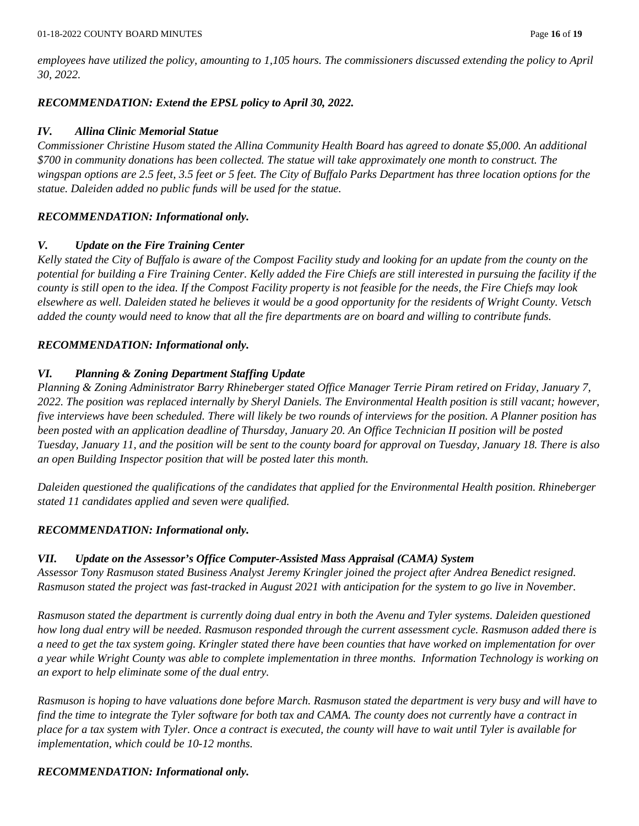*employees have utilized the policy, amounting to 1,105 hours. The commissioners discussed extending the policy to April 30, 2022.* 

### *RECOMMENDATION: Extend the EPSL policy to April 30, 2022.*

#### *IV. Allina Clinic Memorial Statue*

*Commissioner Christine Husom stated the Allina Community Health Board has agreed to donate \$5,000. An additional \$700 in community donations has been collected. The statue will take approximately one month to construct. The wingspan options are 2.5 feet, 3.5 feet or 5 feet. The City of Buffalo Parks Department has three location options for the statue. Daleiden added no public funds will be used for the statue.*

#### *RECOMMENDATION: Informational only.*

#### *V. Update on the Fire Training Center*

*Kelly stated the City of Buffalo is aware of the Compost Facility study and looking for an update from the county on the potential for building a Fire Training Center. Kelly added the Fire Chiefs are still interested in pursuing the facility if the county is still open to the idea. If the Compost Facility property is not feasible for the needs, the Fire Chiefs may look elsewhere as well. Daleiden stated he believes it would be a good opportunity for the residents of Wright County. Vetsch added the county would need to know that all the fire departments are on board and willing to contribute funds.* 

#### *RECOMMENDATION: Informational only.*

#### *VI. Planning & Zoning Department Staffing Update*

*Planning & Zoning Administrator Barry Rhineberger stated Office Manager Terrie Piram retired on Friday, January 7, 2022. The position was replaced internally by Sheryl Daniels. The Environmental Health position is still vacant; however, five interviews have been scheduled. There will likely be two rounds of interviews for the position. A Planner position has been posted with an application deadline of Thursday, January 20. An Office Technician II position will be posted Tuesday, January 11, and the position will be sent to the county board for approval on Tuesday, January 18. There is also an open Building Inspector position that will be posted later this month.*

*Daleiden questioned the qualifications of the candidates that applied for the Environmental Health position. Rhineberger stated 11 candidates applied and seven were qualified.* 

#### *RECOMMENDATION: Informational only.*

## *VII. Update on the Assessor's Office Computer-Assisted Mass Appraisal (CAMA) System*

*Assessor Tony Rasmuson stated Business Analyst Jeremy Kringler joined the project after Andrea Benedict resigned. Rasmuson stated the project was fast-tracked in August 2021 with anticipation for the system to go live in November.* 

*Rasmuson stated the department is currently doing dual entry in both the Avenu and Tyler systems. Daleiden questioned how long dual entry will be needed. Rasmuson responded through the current assessment cycle. Rasmuson added there is a need to get the tax system going. Kringler stated there have been counties that have worked on implementation for over a year while Wright County was able to complete implementation in three months. Information Technology is working on an export to help eliminate some of the dual entry.* 

*Rasmuson is hoping to have valuations done before March. Rasmuson stated the department is very busy and will have to find the time to integrate the Tyler software for both tax and CAMA. The county does not currently have a contract in place for a tax system with Tyler. Once a contract is executed, the county will have to wait until Tyler is available for implementation, which could be 10-12 months.* 

## *RECOMMENDATION: Informational only.*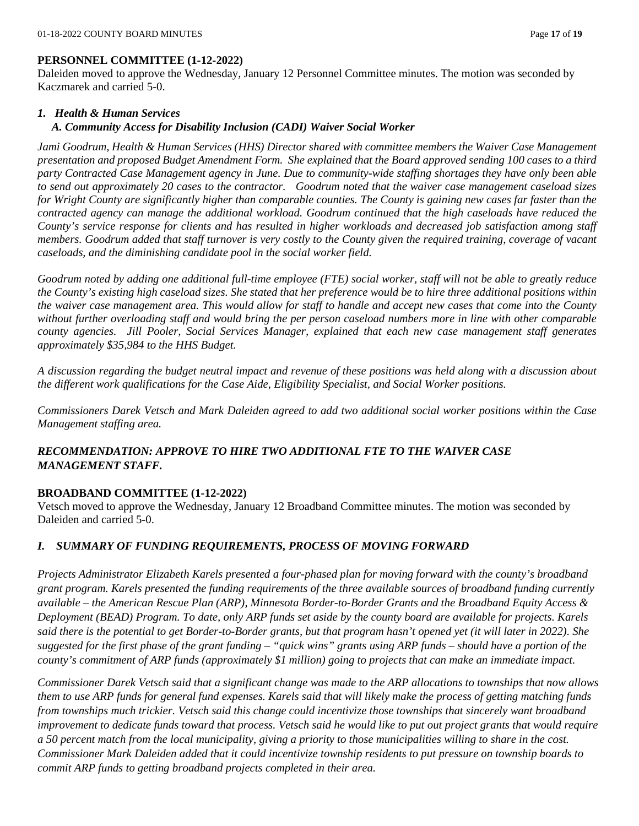#### **PERSONNEL COMMITTEE (1-12-2022)**

Daleiden moved to approve the Wednesday, January 12 Personnel Committee minutes. The motion was seconded by Kaczmarek and carried 5-0.

#### *1. Health & Human Services*

#### *A. Community Access for Disability Inclusion (CADI) Waiver Social Worker*

*Jami Goodrum, Health & Human Services (HHS) Director shared with committee members the Waiver Case Management presentation and proposed Budget Amendment Form. She explained that the Board approved sending 100 cases to a third party Contracted Case Management agency in June. Due to community-wide staffing shortages they have only been able to send out approximately 20 cases to the contractor. Goodrum noted that the waiver case management caseload sizes for Wright County are significantly higher than comparable counties. The County is gaining new cases far faster than the contracted agency can manage the additional workload. Goodrum continued that the high caseloads have reduced the County's service response for clients and has resulted in higher workloads and decreased job satisfaction among staff members. Goodrum added that staff turnover is very costly to the County given the required training, coverage of vacant caseloads, and the diminishing candidate pool in the social worker field.* 

*Goodrum noted by adding one additional full-time employee (FTE) social worker, staff will not be able to greatly reduce the County's existing high caseload sizes. She stated that her preference would be to hire three additional positions within the waiver case management area. This would allow for staff to handle and accept new cases that come into the County without further overloading staff and would bring the per person caseload numbers more in line with other comparable county agencies. Jill Pooler, Social Services Manager, explained that each new case management staff generates approximately \$35,984 to the HHS Budget.* 

*A discussion regarding the budget neutral impact and revenue of these positions was held along with a discussion about the different work qualifications for the Case Aide, Eligibility Specialist, and Social Worker positions.* 

*Commissioners Darek Vetsch and Mark Daleiden agreed to add two additional social worker positions within the Case Management staffing area.*

## *RECOMMENDATION: APPROVE TO HIRE TWO ADDITIONAL FTE TO THE WAIVER CASE MANAGEMENT STAFF.*

## **BROADBAND COMMITTEE (1-12-2022)**

Vetsch moved to approve the Wednesday, January 12 Broadband Committee minutes. The motion was seconded by Daleiden and carried 5-0.

## *I. SUMMARY OF FUNDING REQUIREMENTS, PROCESS OF MOVING FORWARD*

*Projects Administrator Elizabeth Karels presented a four-phased plan for moving forward with the county's broadband grant program. Karels presented the funding requirements of the three available sources of broadband funding currently available – the American Rescue Plan (ARP), Minnesota Border-to-Border Grants and the Broadband Equity Access & Deployment (BEAD) Program. To date, only ARP funds set aside by the county board are available for projects. Karels said there is the potential to get Border-to-Border grants, but that program hasn't opened yet (it will later in 2022). She suggested for the first phase of the grant funding – "quick wins" grants using ARP funds – should have a portion of the county's commitment of ARP funds (approximately \$1 million) going to projects that can make an immediate impact.*

*Commissioner Darek Vetsch said that a significant change was made to the ARP allocations to townships that now allows them to use ARP funds for general fund expenses. Karels said that will likely make the process of getting matching funds from townships much trickier. Vetsch said this change could incentivize those townships that sincerely want broadband improvement to dedicate funds toward that process. Vetsch said he would like to put out project grants that would require a 50 percent match from the local municipality, giving a priority to those municipalities willing to share in the cost. Commissioner Mark Daleiden added that it could incentivize township residents to put pressure on township boards to commit ARP funds to getting broadband projects completed in their area.*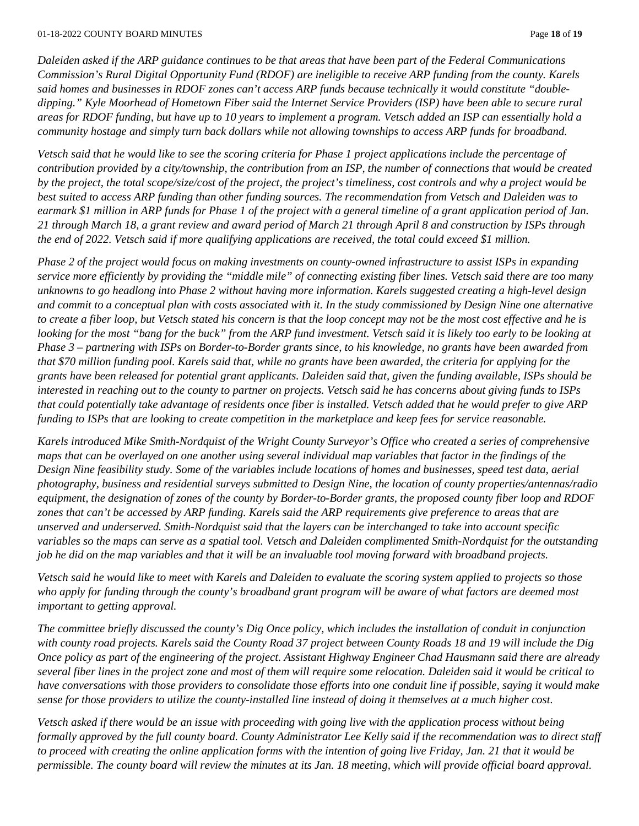*Daleiden asked if the ARP guidance continues to be that areas that have been part of the Federal Communications Commission's Rural Digital Opportunity Fund (RDOF) are ineligible to receive ARP funding from the county. Karels said homes and businesses in RDOF zones can't access ARP funds because technically it would constitute "doubledipping." Kyle Moorhead of Hometown Fiber said the Internet Service Providers (ISP) have been able to secure rural areas for RDOF funding, but have up to 10 years to implement a program. Vetsch added an ISP can essentially hold a community hostage and simply turn back dollars while not allowing townships to access ARP funds for broadband.*

*Vetsch said that he would like to see the scoring criteria for Phase 1 project applications include the percentage of contribution provided by a city/township, the contribution from an ISP, the number of connections that would be created by the project, the total scope/size/cost of the project, the project's timeliness, cost controls and why a project would be best suited to access ARP funding than other funding sources. The recommendation from Vetsch and Daleiden was to earmark \$1 million in ARP funds for Phase 1 of the project with a general timeline of a grant application period of Jan. 21 through March 18, a grant review and award period of March 21 through April 8 and construction by ISPs through the end of 2022. Vetsch said if more qualifying applications are received, the total could exceed \$1 million.*

*Phase 2 of the project would focus on making investments on county-owned infrastructure to assist ISPs in expanding service more efficiently by providing the "middle mile" of connecting existing fiber lines. Vetsch said there are too many unknowns to go headlong into Phase 2 without having more information. Karels suggested creating a high-level design and commit to a conceptual plan with costs associated with it. In the study commissioned by Design Nine one alternative to create a fiber loop, but Vetsch stated his concern is that the loop concept may not be the most cost effective and he is looking for the most "bang for the buck" from the ARP fund investment. Vetsch said it is likely too early to be looking at Phase 3 – partnering with ISPs on Border-to-Border grants since, to his knowledge, no grants have been awarded from that \$70 million funding pool. Karels said that, while no grants have been awarded, the criteria for applying for the grants have been released for potential grant applicants. Daleiden said that, given the funding available, ISPs should be interested in reaching out to the county to partner on projects. Vetsch said he has concerns about giving funds to ISPs that could potentially take advantage of residents once fiber is installed. Vetsch added that he would prefer to give ARP funding to ISPs that are looking to create competition in the marketplace and keep fees for service reasonable.*

*Karels introduced Mike Smith-Nordquist of the Wright County Surveyor's Office who created a series of comprehensive maps that can be overlayed on one another using several individual map variables that factor in the findings of the Design Nine feasibility study. Some of the variables include locations of homes and businesses, speed test data, aerial photography, business and residential surveys submitted to Design Nine, the location of county properties/antennas/radio equipment, the designation of zones of the county by Border-to-Border grants, the proposed county fiber loop and RDOF zones that can't be accessed by ARP funding. Karels said the ARP requirements give preference to areas that are unserved and underserved. Smith-Nordquist said that the layers can be interchanged to take into account specific variables so the maps can serve as a spatial tool. Vetsch and Daleiden complimented Smith-Nordquist for the outstanding job he did on the map variables and that it will be an invaluable tool moving forward with broadband projects.*

*Vetsch said he would like to meet with Karels and Daleiden to evaluate the scoring system applied to projects so those who apply for funding through the county's broadband grant program will be aware of what factors are deemed most important to getting approval.*

*The committee briefly discussed the county's Dig Once policy, which includes the installation of conduit in conjunction with county road projects. Karels said the County Road 37 project between County Roads 18 and 19 will include the Dig Once policy as part of the engineering of the project. Assistant Highway Engineer Chad Hausmann said there are already several fiber lines in the project zone and most of them will require some relocation. Daleiden said it would be critical to have conversations with those providers to consolidate those efforts into one conduit line if possible, saying it would make sense for those providers to utilize the county-installed line instead of doing it themselves at a much higher cost.*

*Vetsch asked if there would be an issue with proceeding with going live with the application process without being formally approved by the full county board. County Administrator Lee Kelly said if the recommendation was to direct staff to proceed with creating the online application forms with the intention of going live Friday, Jan. 21 that it would be permissible. The county board will review the minutes at its Jan. 18 meeting, which will provide official board approval.*